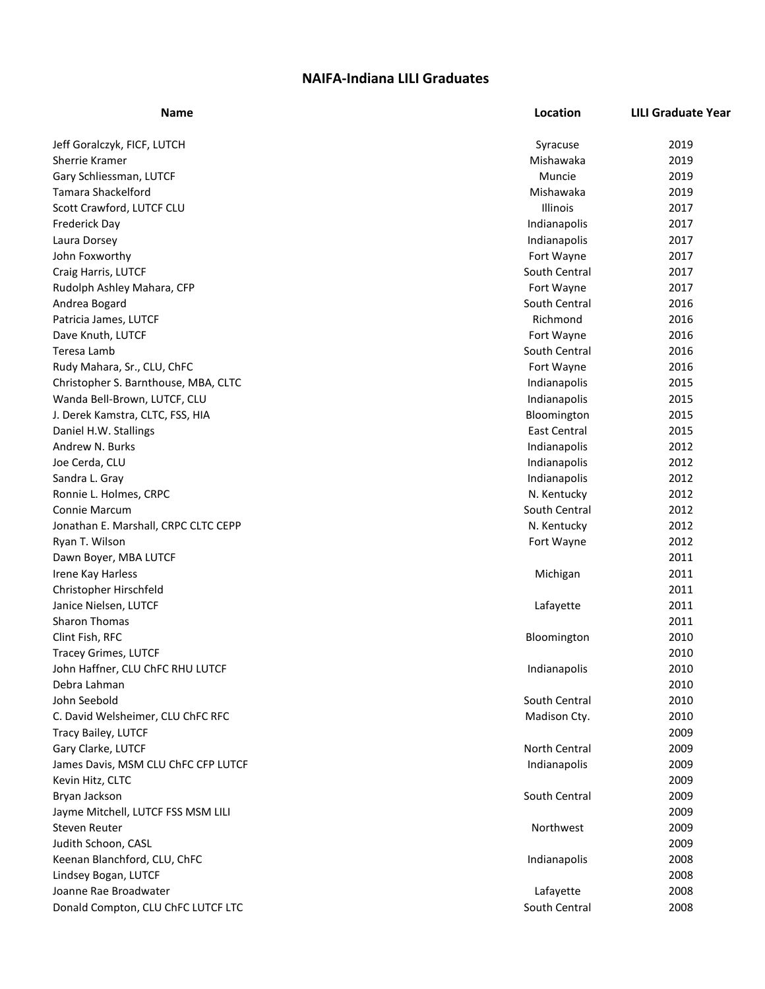## **NAIFA-Indiana LILI Graduates**

| <b>Name</b>                          | Location            | <b>LILI Graduate Year</b> |
|--------------------------------------|---------------------|---------------------------|
| Jeff Goralczyk, FICF, LUTCH          | Syracuse            | 2019                      |
| <b>Sherrie Kramer</b>                | Mishawaka           | 2019                      |
| Gary Schliessman, LUTCF              | Muncie              | 2019                      |
| <b>Tamara Shackelford</b>            | Mishawaka           | 2019                      |
| Scott Crawford, LUTCF CLU            | Illinois            | 2017                      |
| Frederick Day                        | Indianapolis        | 2017                      |
| Laura Dorsey                         | Indianapolis        | 2017                      |
| John Foxworthy                       | Fort Wayne          | 2017                      |
| Craig Harris, LUTCF                  | South Central       | 2017                      |
| Rudolph Ashley Mahara, CFP           | Fort Wayne          | 2017                      |
| Andrea Bogard                        | South Central       | 2016                      |
| Patricia James, LUTCF                | Richmond            | 2016                      |
| Dave Knuth, LUTCF                    | Fort Wayne          | 2016                      |
| Teresa Lamb                          | South Central       | 2016                      |
| Rudy Mahara, Sr., CLU, ChFC          | Fort Wayne          | 2016                      |
| Christopher S. Barnthouse, MBA, CLTC | Indianapolis        | 2015                      |
| Wanda Bell-Brown, LUTCF, CLU         | Indianapolis        | 2015                      |
| J. Derek Kamstra, CLTC, FSS, HIA     | Bloomington         | 2015                      |
| Daniel H.W. Stallings                | <b>East Central</b> | 2015                      |
| Andrew N. Burks                      | Indianapolis        | 2012                      |
| Joe Cerda, CLU                       | Indianapolis        | 2012                      |
| Sandra L. Gray                       | Indianapolis        | 2012                      |
| Ronnie L. Holmes, CRPC               | N. Kentucky         | 2012                      |
| <b>Connie Marcum</b>                 | South Central       | 2012                      |
| Jonathan E. Marshall, CRPC CLTC CEPP | N. Kentucky         | 2012                      |
| Ryan T. Wilson                       | Fort Wayne          | 2012                      |
| Dawn Boyer, MBA LUTCF                |                     | 2011                      |
| Irene Kay Harless                    | Michigan            | 2011                      |
| Christopher Hirschfeld               |                     | 2011                      |
| Janice Nielsen, LUTCF                | Lafayette           | 2011                      |
| <b>Sharon Thomas</b>                 |                     | 2011                      |
| Clint Fish, RFC                      | Bloomington         | 2010                      |
| <b>Tracey Grimes, LUTCF</b>          |                     | 2010                      |
| John Haffner, CLU ChFC RHU LUTCF     | Indianapolis        | 2010                      |
| Debra Lahman                         |                     | 2010                      |
| John Seebold                         | South Central       | 2010                      |
| C. David Welsheimer, CLU ChFC RFC    | Madison Cty.        | 2010                      |
| Tracy Bailey, LUTCF                  |                     | 2009                      |
| Gary Clarke, LUTCF                   | North Central       | 2009                      |
| James Davis, MSM CLU ChFC CFP LUTCF  | Indianapolis        | 2009                      |
| Kevin Hitz, CLTC                     |                     | 2009                      |
| Bryan Jackson                        | South Central       | 2009                      |
| Jayme Mitchell, LUTCF FSS MSM LILI   |                     | 2009                      |
| Steven Reuter                        | Northwest           | 2009                      |
| Judith Schoon, CASL                  |                     | 2009                      |
| Keenan Blanchford, CLU, ChFC         | Indianapolis        | 2008                      |
| Lindsey Bogan, LUTCF                 |                     | 2008                      |
| Joanne Rae Broadwater                | Lafayette           | 2008                      |
| Donald Compton, CLU ChFC LUTCF LTC   | South Central       | 2008                      |
|                                      |                     |                           |